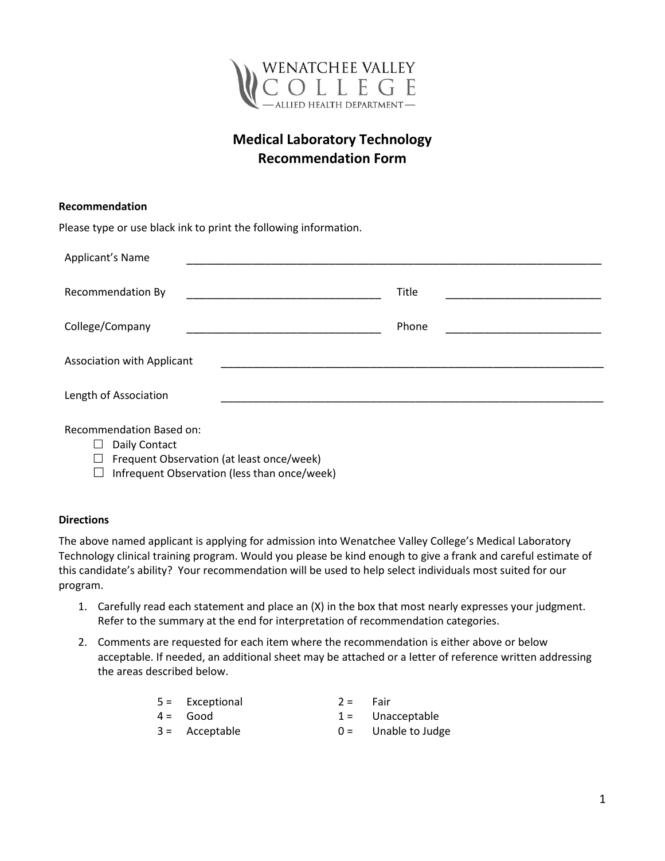

## **Medical Laboratory Technology Recommendation Form**

| Recommendation                                                   |       |
|------------------------------------------------------------------|-------|
| Please type or use black ink to print the following information. |       |
| Applicant's Name                                                 |       |
| Recommendation By                                                | Title |
| College/Company                                                  | Phone |
| Association with Applicant                                       |       |
| Length of Association                                            |       |

Recommendation Based on:

- $\Box$  Daily Contact
- $\Box$  Frequent Observation (at least once/week)
- $\Box$  Infrequent Observation (less than once/week)

## **Directions**

The above named applicant is applying for admission into Wenatchee Valley College's Medical Laboratory Technology clinical training program. Would you please be kind enough to give a frank and careful estimate of this candidate's ability? Your recommendation will be used to help select individuals most suited for our program.

- 1. Carefully read each statement and place an (X) in the box that most nearly expresses your judgment. Refer to the summary at the end for interpretation of recommendation categories.
- 2. Comments are requested for each item where the recommendation is either above or below acceptable. If needed, an additional sheet may be attached or a letter of reference written addressing the areas described below.

| $5 =$ Exceptional | $2 =$ Fair |                       |
|-------------------|------------|-----------------------|
| $4 =$ Good        |            | $1 =$ Unacceptable    |
| $3 =$ Acceptable  |            | $0 =$ Unable to Judge |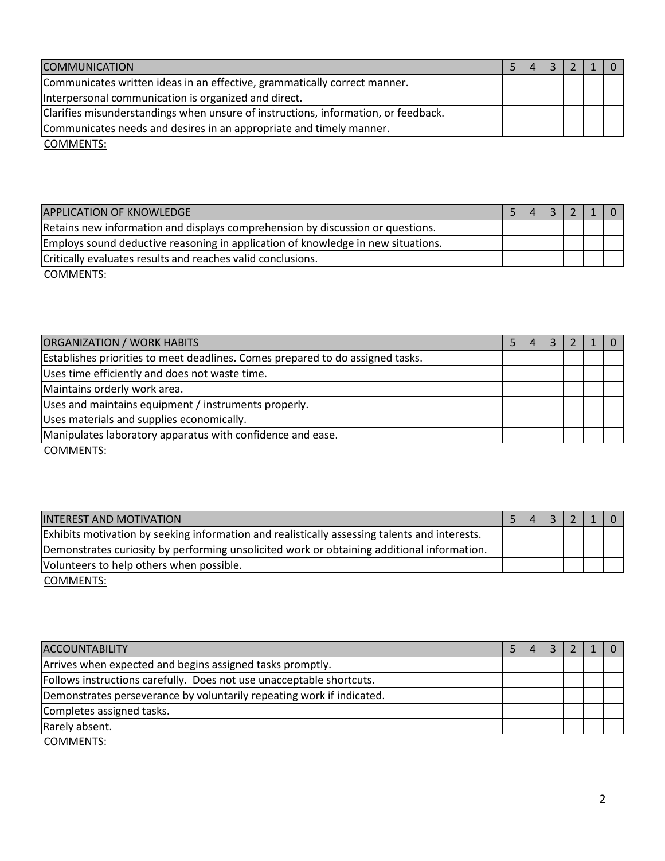| <b>COMMUNICATION</b>                                                               |  |  |  |
|------------------------------------------------------------------------------------|--|--|--|
| Communicates written ideas in an effective, grammatically correct manner.          |  |  |  |
| Interpersonal communication is organized and direct.                               |  |  |  |
| Clarifies misunderstandings when unsure of instructions, information, or feedback. |  |  |  |
| Communicates needs and desires in an appropriate and timely manner.                |  |  |  |

COMMENTS:

| <b>APPLICATION OF KNOWLEDGE</b>                                                  |  |  |  |
|----------------------------------------------------------------------------------|--|--|--|
| Retains new information and displays comprehension by discussion or questions.   |  |  |  |
| Employs sound deductive reasoning in application of knowledge in new situations. |  |  |  |
| Critically evaluates results and reaches valid conclusions.                      |  |  |  |
| COMMENTS:                                                                        |  |  |  |

ORGANIZATION / WORK HABITS 5 4 3 2 1 0 Establishes priorities to meet deadlines. Comes prepared to do assigned tasks. Uses time efficiently and does not waste time. Maintains orderly work area. Uses and maintains equipment / instruments properly. Uses materials and supplies economically. Manipulates laboratory apparatus with confidence and ease.

COMMENTS:

| <b>INTEREST AND MOTIVATION</b>                                                                |  | $\sim$ 1 |  |  |
|-----------------------------------------------------------------------------------------------|--|----------|--|--|
| Exhibits motivation by seeking information and realistically assessing talents and interests. |  |          |  |  |
| Demonstrates curiosity by performing unsolicited work or obtaining additional information.    |  |          |  |  |
| Volunteers to help others when possible.                                                      |  |          |  |  |

COMMENTS:

| <b>ACCOUNTABILITY</b>                                                 |  |  |  |
|-----------------------------------------------------------------------|--|--|--|
| Arrives when expected and begins assigned tasks promptly.             |  |  |  |
| Follows instructions carefully. Does not use unacceptable shortcuts.  |  |  |  |
| Demonstrates perseverance by voluntarily repeating work if indicated. |  |  |  |
| Completes assigned tasks.                                             |  |  |  |
| Rarely absent.                                                        |  |  |  |
| $CONINITNI$                                                           |  |  |  |

COMMENTS: